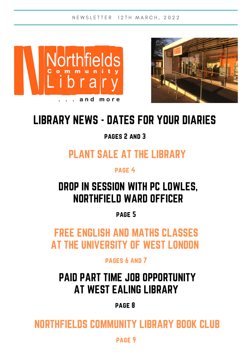



# LIBRARY NEWS - DATES FOR YOUR DIARIES

pages 2 and 3

### PLANT SALE AT THE LIBRARY

page 4

### DROP IN SESSION WITH PC LOWLES, NORTHFIELD WARD OFFICER

page 5

FREE ENGLISH AND MATHS CLASSES AT THE UNIVERSITY OF WEST LONDON

pages 6 and 7

## PAID PART TIME JOB OPPORTUNITY AT WEST EALING LIBRARY

page 8

NORTHFIELDS COMMUNITY LIBRARY BOOK CLUB

page 9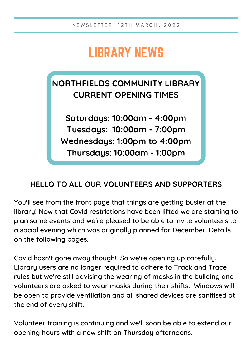# LIBRARY NEWS

### **NORTHFIELDS COMMUNITY LIBRARY CURRENT OPENING TIMES**

**Saturdays: 10:00am - 4:00pm Tuesdays: 10:00am - 7:00pm Wednesdays: 1:00pm to 4:00pm Thursdays: 10:00am - 1:00pm**

#### **HELLO TO ALL OUR VOLUNTEERS AND SUPPORTERS**

You'll see from the front page that things are getting busier at the library! Now that Covid restrictions have been lifted we are starting to plan some events and we're pleased to be able to invite volunteers to a social evening which was originally planned for December. Details on the following pages.

Covid hasn't gone away though! So we're opening up carefully. Library users are no longer required to adhere to Track and Trace rules but we're still advising the wearing of masks in the building and volunteers are asked to wear masks during their shifts. Windows will be open to provide ventilation and all shared devices are sanitised at the end of every shift.

Volunteer training is continuing and we'll soon be able to extend our opening hours with a new shift on Thursday afternoons.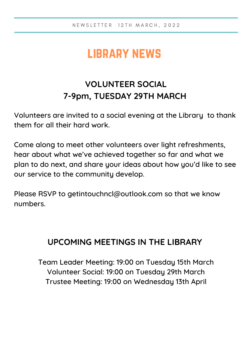# library news

### **VOLUNTEER SOCIAL 7-9pm, TUESDAY 29TH MARCH**

Volunteers are invited to a social evening at the Library to thank them for all their hard work.

Come along to meet other volunteers over light refreshments, hear about what we've achieved together so far and what we plan to do next, and share your ideas about how you'd like to see our service to the community develop.

Please RSVP to [getintouchncl@outlook.com](mailto:getintouchncl@outlook.com) so that we know numbers.

#### **UPCOMING MEETINGS IN THE LIBRARY**

Team Leader Meeting: 19:00 on Tuesday 15th March Volunteer Social: 19:00 on Tuesday 29th March Trustee Meeting: 19:00 on Wednesday 13th April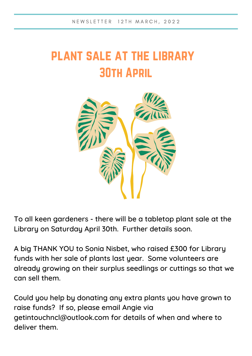# plant sale at the library 30th April



To all keen gardeners - there will be a tabletop plant sale at the Library on Saturday April 30th. Further details soon.

A big THANK YOU to Sonia Nisbet, who raised £300 for Library funds with her sale of plants last year. Some volunteers are already growing on their surplus seedlings or cuttings so that we can sell them.

Could you help by donating any extra plants you have grown to raise funds? If so, please email Angie via [getintouchncl@outlook.com](mailto:getintouchncl@outlook.com) for details of when and where to deliver them.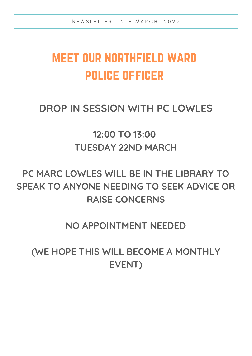# meet our northfield ward police officer

### **DROP IN SESSION WITH PC LOWLES**

**12:00 TO 13:00 TUESDAY 22ND MARCH**

### **PC MARC LOWLES WILL BE IN THE LIBRARY TO SPEAK TO ANYONE NEEDING TO SEEK ADVICE OR RAISE CONCERNS**

#### **NO APPOINTMENT NEEDED**

**(WE HOPE THIS WILL BECOME A MONTHLY EVENT)**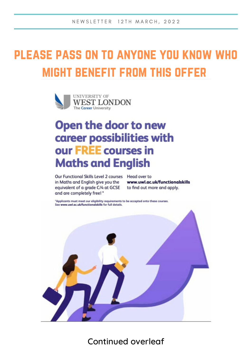# please pass on to anyone you know who might benefit from this offer



## Open the door to new career possibilities with our FREE courses in **Maths and English**

Our Functional Skills Level 2 courses Head over to in Maths and English give you the equivalent of a grade C/4 at GCSE and are completely free! \*

www.uwl.ac.uk/functionalskills to find out more and apply.

\*Applicants must meet our eligibility requirements to be accepted onto these courses. See www.uwl.ac.uk/functionalskills for full details.



Continued overleaf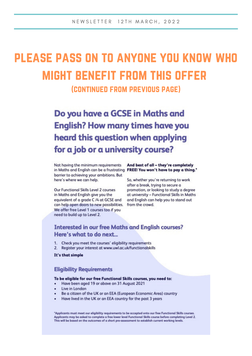# please pass on to anyone you know who might benefit from this offer

(continued from previous page)

Do you have a GCSE in Maths and **English? How many times have you** heard this question when applying for a job or a university course?

Not having the minimum requirements in Maths and English can be a frustrating FREE! You won't have to pay a thing." barrier to achieving your ambitions. But here's where we can help.

Our Functional Skills Level 2 courses in Maths and English give you the equivalent of a grade C /4 at GCSE and can help open doors to new possibilities. We offer free Level 1 courses too if you need to build up to Level 2.

And best of all - they're completely

So, whether you're returning to work after a break, trying to secure a promotion, or looking to study a degree at university - Functional Skills in Maths and English can help you to stand out from the crowd.

#### **Interested in our free Maths and English courses?** Here's what to do next...

- 1. Check you meet the courses' eligibility requirements
- Register your interest at www.uwl.ac.uk/functionalskills  $2.$

It's that simple

#### **Eligibility Requirements**

#### To be eligible for our free Functional Skills courses, you need to:

- Have been aged 19 or above on 31 August 2021
- Live in London
- Be a citizen of the UK or an EEA (European Economic Area) country
- Have lived in the UK or an EEA country for the past 3 years

\*Applicants must meet our eligibility requirements to be accepted onto our free Functional Skills courses. Applicants may be asked to complete a free lower level Functional Skills course before completing Level 2. This will be based on the outcomes of a short pre-assessment to establish current working levels.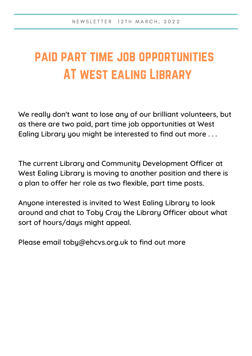# paid part time job opportunities AT west ealing Library

We really don't want to lose any of our brilliant volunteers, but as there are two paid, part time job opportunities at West Ealing Library you might be interested to find out more . . .

The current Library and Community Development Officer at West Ealing Library is moving to another position and there is a plan to offer her role as two flexible, part time posts.

Anyone interested is invited to West Ealing Library to look around and chat to Toby Cray the Library Officer about what sort of hours/days might appeal.

Please email [toby@ehcvs.org.uk](mailto:toby@ehcvs.org.uk) to find out more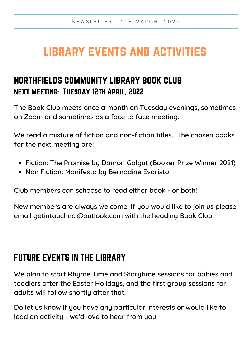# library events and activities

### northfields community library book club next meeting: Tuesday 12th April, 2022

The Book Club meets once a month on Tuesday evenings, sometimes on Zoom and sometimes as a face to face meeting.

We read a mixture of fiction and non-fiction titles. The chosen books for the next meeting are:

- Fiction: The Promise by Damon Galgut (Booker Prize Winner 2021)
- Non Fiction: Manifesto by Bernadine Evaristo

Club members can schoose to read either book - or both!

New members are always welcome. If you would like to join us please email getintouchncl@outlook.com with the heading Book Club.

### FUTURE EVENTS IN THE LIBRARY

We plan to start Rhyme Time and Storytime sessions for babies and toddlers after the Easter Holidays, and the first group sessions for adults will follow shortly after that.

Do let us know if you have any particular interests or would like to lead an activity - we'd love to hear from you!